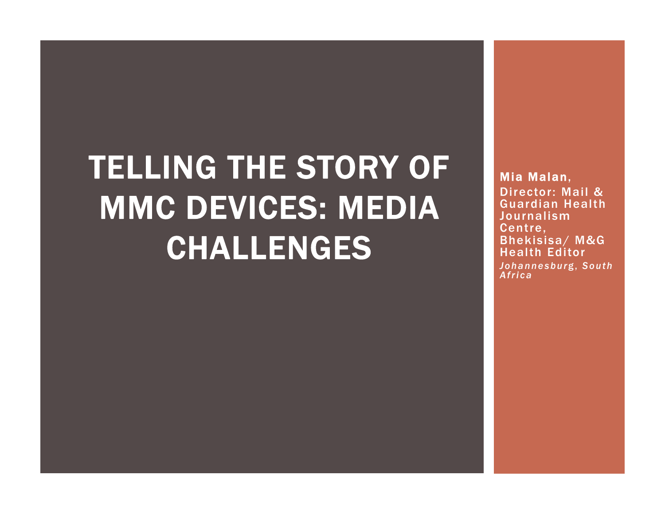# TELLING THE STORY OF MMC DEVICES: MEDIA CHALLENGES

Mia Malan, Director: Mail & Guardian Health Journalism Centre, Bhekisisa/ M&G Health Editor*Johannesbur*g, *South Africa*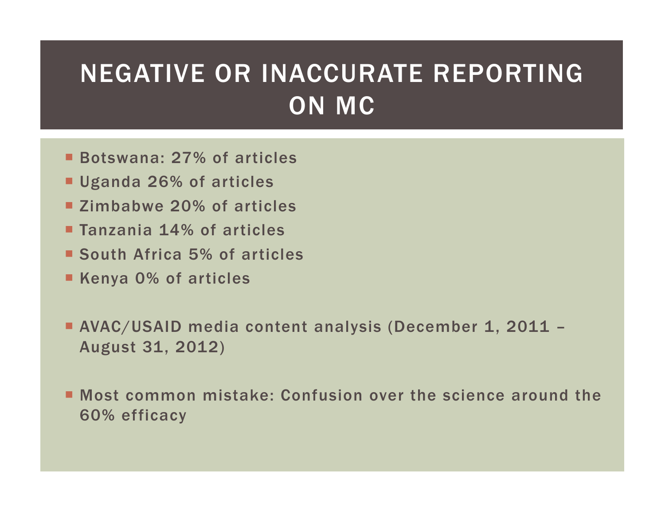## NEGATIVE OR INACCURATE REPORTING ON MC

- Botswana: 27% of articles
- Uganda 26% of articles
- **EXAMPLE 20% of articles**
- **Tanzania 14% of articles**
- South Africa 5% of articles
- Kenya 0% of articles
- AVAC/USAID media content analysis (December 1, 2011 August 31, 2012)
- Most common mistake: Confusion over the science around the 60% efficacy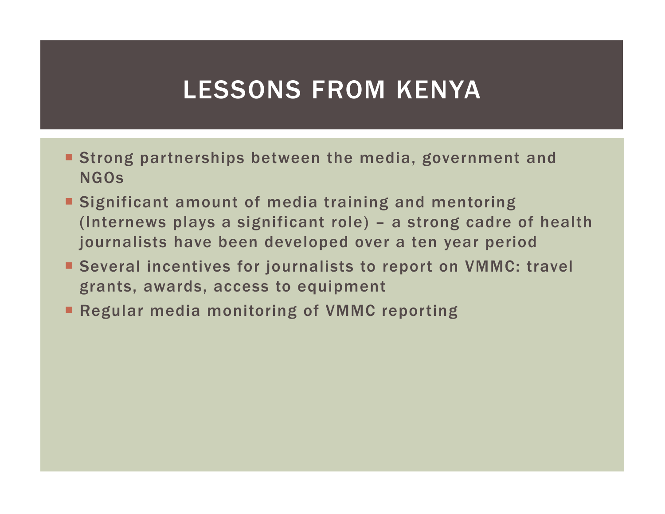### LESSONS FROM KENYA

- Strong partnerships between the media, government and NGOs
- **Significant amount of media training and mentoring** (Internews plays a significant role) – a strong cadre of health journalists have been developed over a ten year period
- Several incentives for journalists to report on VMMC: travel grants, awards, access to equipment
- **Regular media monitoring of VMMC reporting**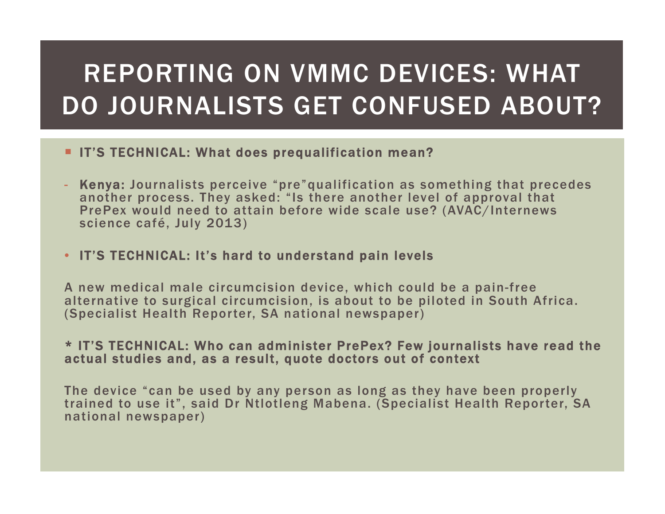# REPORTING ON VMMC DEVICES: WHAT DO JOURNALISTS GET CONFUSED ABOUT?

#### **IF'S TECHNICAL: What does prequalification mean?**

- Kenya: Journalists perceive "pre"qualification as something that precedes another process. They asked: "Is there another level of approval that PrePex would need to attain before wide scale use? (AVAC/Internews science café, July 2013)

#### • IT'S TECHNICAL: It's hard to understand pain levels

A new medical male circumcision device, which could be a pain-free alternative to surgical circumcision, is about to be piloted in South Africa. (Specialist Health Reporter, SA national newspaper)

#### \* IT'S TECHNICAL: Who can administer PrePex? Few journalists have read the actual studies and, as a result, quote doctors out of context

The device "can be used by any person as long as they have been properly trained to use it", said Dr Ntlotleng Mabena. (Specialist Health Reporter, SA national newspaper)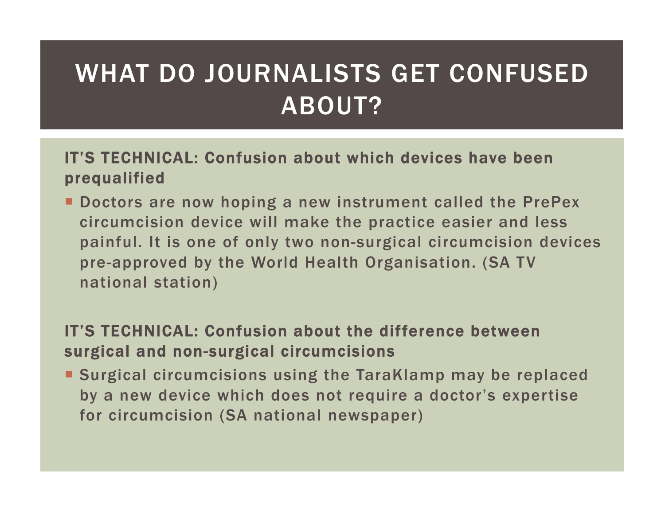# WHAT DO JOURNALISTS GET CONFUSED ABOUT?

### IT'S TECHNICAL: Confusion about which devices have been prequalified

**• Doctors are now hoping a new instrument called the PrePex** circumcision device will make the practice easier and less painful. It is one of only two non-surgical circumcision devices pre-approved by the World Health Organisation. (SA TV national station)

### IT'S TECHNICAL: Confusion about the difference between surgical and non-surgical circumcisions

 Surgical circumcisions using the TaraKlamp may be replaced by a new device which does not require a doctor's expertise for circumcision (SA national newspaper)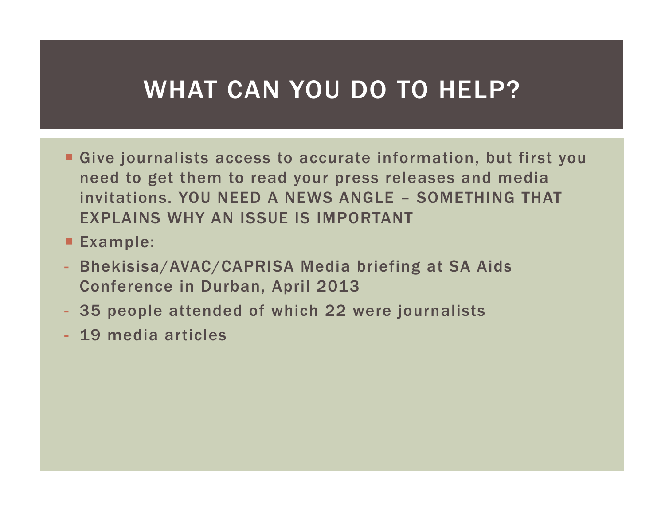### WHAT CAN YOU DO TO HELP?

- Give journalists access to accurate information, but first you need to get them to read your press releases and media invitations. YOU NEED A NEWS ANGLE – SOMETHING THAT EXPLAINS WHY AN ISSUE IS IMPORTANT
- Example:
- Bhekisisa/AVAC/CAPRISA Media briefing at SA Aids Conference in Durban, April 2013
- 35 people attended of which 22 were journalists
- 19 media articles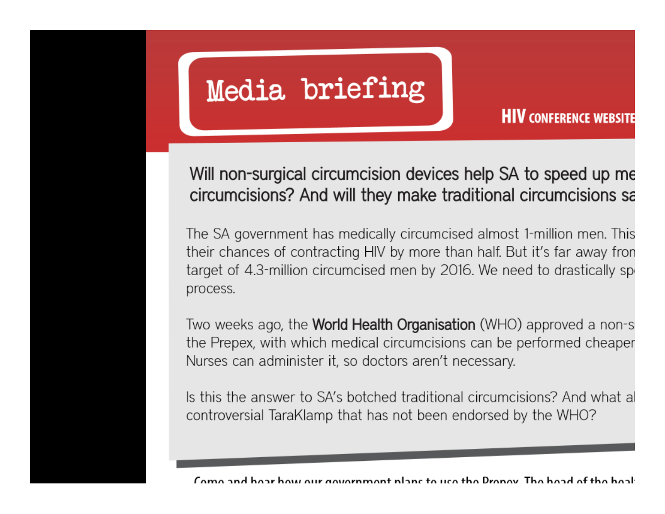# Media briefing

**HIV CONFERENCE WEBSITE** 

Will non-surgical circumcision devices help SA to speed up me circumcisions? And will they make traditional circumcisions sa

The SA government has medically circumcised almost 1-million men. This their chances of contracting HIV by more than half. But it's far away fron target of 4.3-million circumcised men by 2016. We need to drastically sp process.

Two weeks ago, the **World Health Organisation** (WHO) approved a non-s the Prepex, with which medical circumcisions can be performed cheaper Nurses can administer it, so doctors aren't necessary.

Is this the answer to SA's botched traditional circumcisions? And what a controversial TaraKlamp that has not been endorsed by the WHO?

Came and hoar how our government plans to use the Prepay. The hoad of the hoal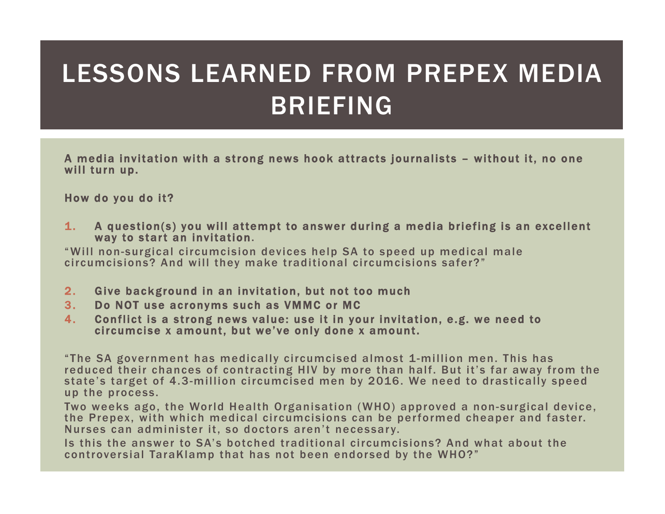# LESSONS LEARNED FROM PREPEX MEDIA BRIEFING

A media invitation with a strong news hook attracts journalists – without it, no one will turn up.

How do you do it?

1. A question(s) you will attempt to answer during a media briefing is an excellent way to start an invitation.

"Will non-surgical circumcision devices help SA to speed up medical male circumcisions? And will they make traditional circumcisions safer?"

- 2.Give background in an invitation, but not too much
- 3.Do NOT use acronyms such as VMMC or MC
- 4. Conflict is a strong news value: use it in your invitation, e.g. we need to circumcise x amount, but we've only done x amount.

"The SA government has medically circumcised almost 1-million men. This has reduced their chances of contracting HIV by more than half. But it's far away from the state's target of 4.3-million circumcised men by 2016. We need to drastically speed up the process.

Two weeks ago, the World Health Organisation (WHO) approved a non-surgical device, the Prepex, with which medical circumcisions can be performed cheaper and faster. Nurses can administer it, so doctors aren't necessary.

Is this the answer to SA's botched traditional circumcisions? And what about the controversial TaraKlamp that has not been endorsed by the WHO?"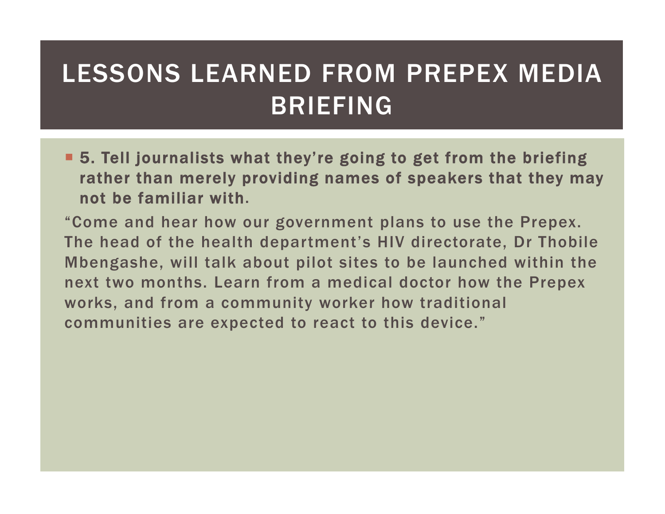## LESSONS LEARNED FROM PREPEX MEDIA BRIEFING

■ 5. Tell journalists what they're going to get from the briefing rather than merely providing names of speakers that they may not be familiar with.

"Come and hear how our government plans to use the Prepex. The head of the health department's HIV directorate, Dr Thobile Mbengashe, will talk about pilot sites to be launched within the next two months. Learn from a medical doctor how the Prepex works, and from a community worker how traditional communities are expected to react to this device."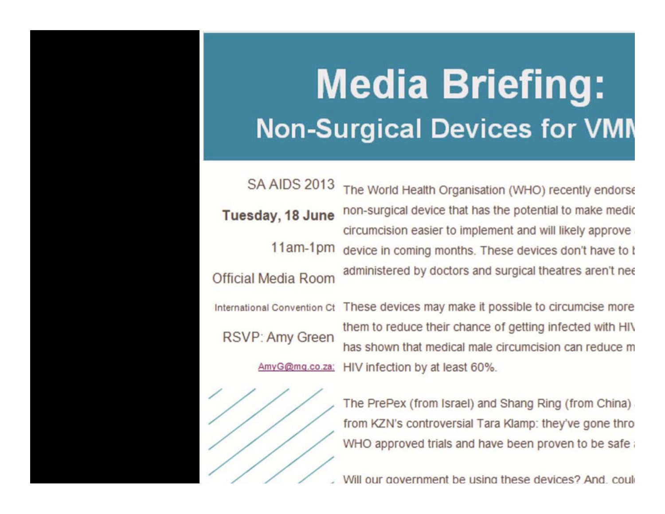# **Example: Sometime: Download Britannic Example: Don't Like This Example: Don't Like This Experiment in the Unit Non-Surgical Devices for VMN**

**SA AIDS 2013** 

Tuesday, 18 June

 $11am-1pm$ 

Official Media Room

International Convention Ct

**RSVP: Amy Green** 



from KZN's controversial Tara Klamp: they've gone thro WHO approved trials and have been proven to be safe

Will our government be using these devices? And could

### The World Health Organisation (WHO) recently endorse non-surgical device that has the potential to make medic circumcision easier to implement and will likely approve device in coming months. These devices don't have to I administered by doctors and surgical theatres aren't nee

These devices may make it possible to circumcise more them to reduce their chance of getting infected with HIV any G@mg.co.za: HIV infection by at least 60%.<br>The PrePex (from Israel) and Shang Ri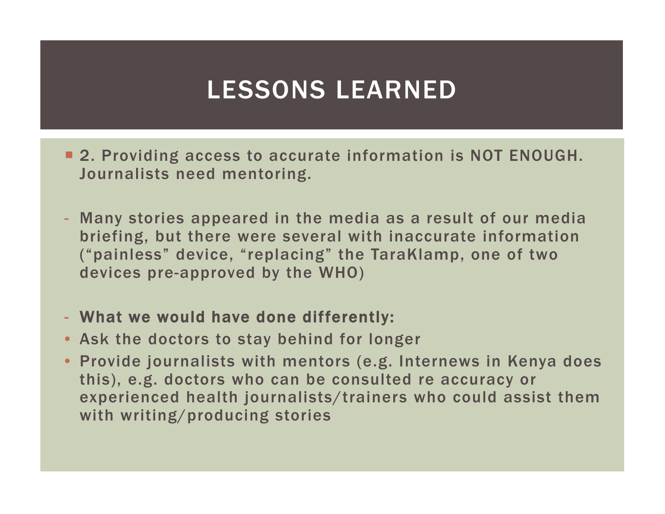### LESSONS LEARNED

- **2. Providing access to accurate information is NOT ENOUGH.** Journalists need mentoring.
- Many stories appeared in the media as a result of our media briefing, but there were several with inaccurate information ("painless" device, "replacing" the TaraKlamp, one of two devices pre-approved by the WHO)
- What we would have done differently:
- Ask the doctors to stay behind for longer
- Provide journalists with mentors (e.g. Internews in Kenya does this), e.g. doctors who can be consulted re accuracy or experienced health journalists/trainers who could assist them with writing/producing stories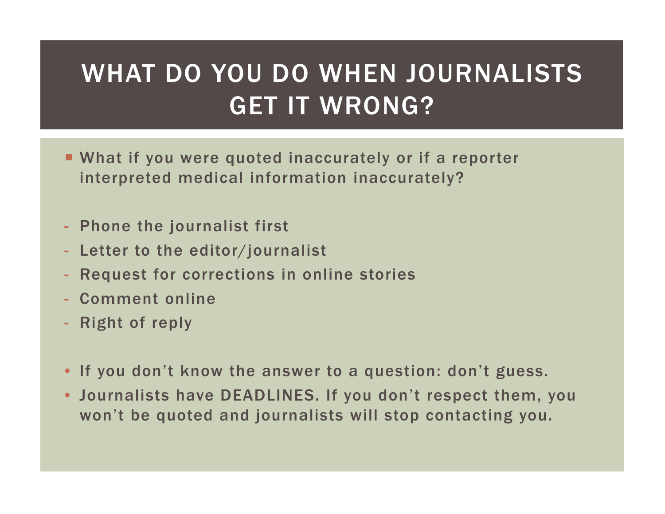# WHAT DO YOU DO WHEN JOURNALISTS GET IT WRONG?

- What if you were quoted inaccurately or if a reporter interpreted medical information inaccurately?
- Phone the journalist first
- Letter to the editor/journalist
- Request for corrections in online stories
- Comment online
- Right of reply
- If you don't know the answer to a question: don't guess.
- Journalists have DEADLINES. If you don't respect them, you won't be quoted and journalists will stop contacting you.